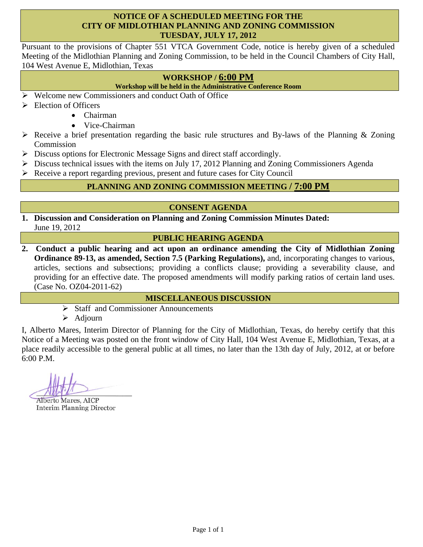#### **NOTICE OF A SCHEDULED MEETING FOR THE CITY OF MIDLOTHIAN PLANNING AND ZONING COMMISSION TUESDAY, JULY 17, 2012**

Pursuant to the provisions of Chapter 551 VTCA Government Code, notice is hereby given of a scheduled Meeting of the Midlothian Planning and Zoning Commission, to be held in the Council Chambers of City Hall, 104 West Avenue E, Midlothian, Texas

# **WORKSHOP / 6:00 PM**

**Workshop will be held in the Administrative Conference Room** 

- $\triangleright$  Welcome new Commissioners and conduct Oath of Office
- $\triangleright$  Election of Officers
	- Chairman
	- Vice-Chairman
- Receive a brief presentation regarding the basic rule structures and By-laws of the Planning & Zoning Commission
- $\triangleright$  Discuss options for Electronic Message Signs and direct staff accordingly.
- $\triangleright$  Discuss technical issues with the items on July 17, 2012 Planning and Zoning Commissioners Agenda
- Receive a report regarding previous, present and future cases for City Council

# **PLANNING AND ZONING COMMISSION MEETING / 7:00 PM**

# **CONSENT AGENDA**

**1. Discussion and Consideration on Planning and Zoning Commission Minutes Dated:**  June 19, 2012

## **PUBLIC HEARING AGENDA**

**2. Conduct a public hearing and act upon an ordinance amending the City of Midlothian Zoning Ordinance 89-13, as amended, Section 7.5 (Parking Regulations),** and, incorporating changes to various, articles, sections and subsections; providing a conflicts clause; providing a severability clause, and providing for an effective date. The proposed amendments will modify parking ratios of certain land uses. (Case No. OZ04-2011-62)

#### **MISCELLANEOUS DISCUSSION**

- $\triangleright$  Staff and Commissioner Announcements
- $\triangleright$  Adjourn

I, Alberto Mares, Interim Director of Planning for the City of Midlothian, Texas, do hereby certify that this Notice of a Meeting was posted on the front window of City Hall, 104 West Avenue E, Midlothian, Texas, at a place readily accessible to the general public at all times, no later than the 13th day of July, 2012, at or before 6:00 P.M.

**Alberto Mares, AICP Interim Planning Director**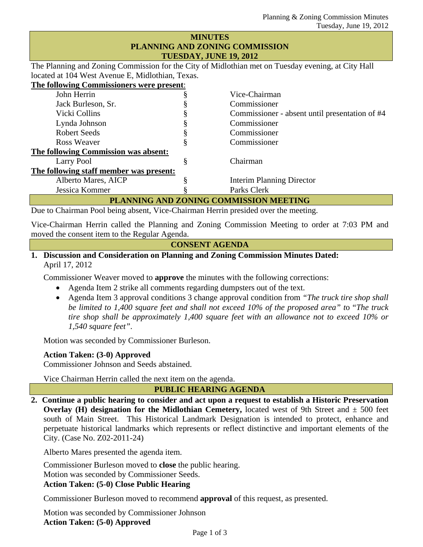#### **MINUTES PLANNING AND ZONING COMMISSION TUESDAY, JUNE 19, 2012**

The Planning and Zoning Commission for the City of Midlothian met on Tuesday evening, at City Hall located at 104 West Avenue E, Midlothian, Texas.

**The following Commissioners were present**:

| John Herrin                             |   | Vice-Chairman                                  |
|-----------------------------------------|---|------------------------------------------------|
| Jack Burleson, Sr.                      |   | Commissioner                                   |
| Vicki Collins                           |   | Commissioner - absent until presentation of #4 |
| Lynda Johnson                           |   | Commissioner                                   |
| <b>Robert Seeds</b>                     |   | Commissioner                                   |
| Ross Weaver                             |   | Commissioner                                   |
| The following Commission was absent:    |   |                                                |
| Larry Pool                              | 8 | Chairman                                       |
| The following staff member was present: |   |                                                |
| Alberto Mares, AICP                     |   | <b>Interim Planning Director</b>               |
| Jessica Kommer                          |   | Parks Clerk                                    |
| - -                                     |   |                                                |

**PLANNING AND ZONING COMMISSION MEETING** 

Due to Chairman Pool being absent, Vice-Chairman Herrin presided over the meeting.

Vice-Chairman Herrin called the Planning and Zoning Commission Meeting to order at 7:03 PM and moved the consent item to the Regular Agenda.

#### **CONSENT AGENDA**

#### **1. Discussion and Consideration on Planning and Zoning Commission Minutes Dated:**  April 17, 2012

Commissioner Weaver moved to **approve** the minutes with the following corrections:

- Agenda Item 2 strike all comments regarding dumpsters out of the text.
- Agenda Item 3 approval conditions 3 change approval condition from *"The truck tire shop shall be limited to 1,400 square feet and shall not exceed 10% of the proposed area" t*o "*The truck tire shop shall be approximately 1,400 square feet with an allowance not to exceed 10% or 1,540 square feet"*.

Motion was seconded by Commissioner Burleson.

**Action Taken: (3-0) Approved** 

Commissioner Johnson and Seeds abstained.

Vice Chairman Herrin called the next item on the agenda.

**PUBLIC HEARING AGENDA** 

**2. Continue a public hearing to consider and act upon a request to establish a Historic Preservation Overlay (H) designation for the Midlothian Cemetery,** located west of 9th Street and  $\pm$  500 feet south of Main Street. This Historical Landmark Designation is intended to protect, enhance and perpetuate historical landmarks which represents or reflect distinctive and important elements of the City. (Case No. Z02-2011-24)

Alberto Mares presented the agenda item.

Commissioner Burleson moved to **close** the public hearing.

Motion was seconded by Commissioner Seeds.

## **Action Taken: (5-0) Close Public Hearing**

Commissioner Burleson moved to recommend **approval** of this request, as presented.

Motion was seconded by Commissioner Johnson **Action Taken: (5-0) Approved**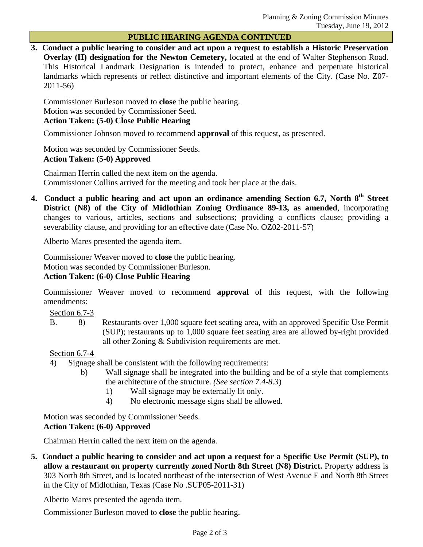#### **PUBLIC HEARING AGENDA CONTINUED**

**3. Conduct a public hearing to consider and act upon a request to establish a Historic Preservation Overlay (H) designation for the Newton Cemetery,** located at the end of Walter Stephenson Road. This Historical Landmark Designation is intended to protect, enhance and perpetuate historical landmarks which represents or reflect distinctive and important elements of the City. (Case No. Z07- 2011-56)

Commissioner Burleson moved to **close** the public hearing. Motion was seconded by Commissioner Seed.

# **Action Taken: (5-0) Close Public Hearing**

Commissioner Johnson moved to recommend **approval** of this request, as presented.

Motion was seconded by Commissioner Seeds. **Action Taken: (5-0) Approved** 

Chairman Herrin called the next item on the agenda. Commissioner Collins arrived for the meeting and took her place at the dais.

**4. Conduct a public hearing and act upon an ordinance amending Section 6.7, North 8th Street District (N8) of the City of Midlothian Zoning Ordinance 89-13, as amended**, incorporating changes to various, articles, sections and subsections; providing a conflicts clause; providing a severability clause, and providing for an effective date (Case No. OZ02-2011-57)

Alberto Mares presented the agenda item.

Commissioner Weaver moved to **close** the public hearing.

Motion was seconded by Commissioner Burleson.

# **Action Taken: (6-0) Close Public Hearing**

Commissioner Weaver moved to recommend **approval** of this request, with the following amendments:

Section 6.7-3

B. 8) Restaurants over 1,000 square feet seating area, with an approved Specific Use Permit (SUP); restaurants up to 1,000 square feet seating area are allowed by-right provided all other Zoning & Subdivision requirements are met.

# Section 6.7-4

- 4) Signage shall be consistent with the following requirements:
	- b) Wall signage shall be integrated into the building and be of a style that complements the architecture of the structure. *(See section 7.4-8.3*)
		- 1) Wall signage may be externally lit only.
		- 4) No electronic message signs shall be allowed.

Motion was seconded by Commissioner Seeds.

# **Action Taken: (6-0) Approved**

Chairman Herrin called the next item on the agenda.

**5. Conduct a public hearing to consider and act upon a request for a Specific Use Permit (SUP), to allow a restaurant on property currently zoned North 8th Street (N8) District.** Property address is 303 North 8th Street, and is located northeast of the intersection of West Avenue E and North 8th Street in the City of Midlothian, Texas (Case No .SUP05-2011-31)

Alberto Mares presented the agenda item.

Commissioner Burleson moved to **close** the public hearing.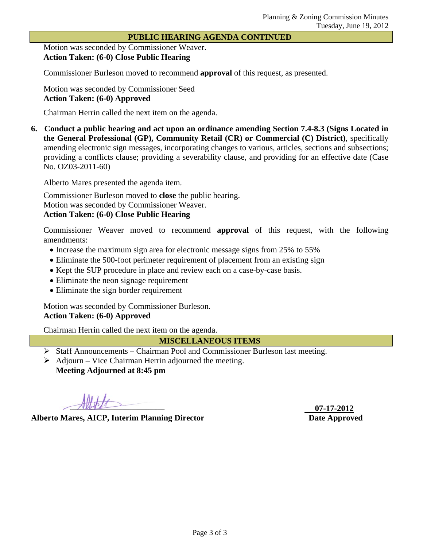#### **PUBLIC HEARING AGENDA CONTINUED**

Motion was seconded by Commissioner Weaver. **Action Taken: (6-0) Close Public Hearing** 

Commissioner Burleson moved to recommend **approval** of this request, as presented.

Motion was seconded by Commissioner Seed **Action Taken: (6-0) Approved** 

Chairman Herrin called the next item on the agenda.

**6. Conduct a public hearing and act upon an ordinance amending Section 7.4-8.3 (Signs Located in the General Professional (GP), Community Retail (CR) or Commercial (C) District)**, specifically amending electronic sign messages, incorporating changes to various, articles, sections and subsections; providing a conflicts clause; providing a severability clause, and providing for an effective date (Case No. OZ03-2011-60)

Alberto Mares presented the agenda item.

Commissioner Burleson moved to **close** the public hearing. Motion was seconded by Commissioner Weaver. **Action Taken: (6-0) Close Public Hearing** 

Commissioner Weaver moved to recommend **approval** of this request, with the following amendments:

- Increase the maximum sign area for electronic message signs from 25% to 55%
- Eliminate the 500-foot perimeter requirement of placement from an existing sign
- Kept the SUP procedure in place and review each on a case-by-case basis.
- Eliminate the neon signage requirement
- Eliminate the sign border requirement

Motion was seconded by Commissioner Burleson. **Action Taken: (6-0) Approved** 

Chairman Herrin called the next item on the agenda.

**MISCELLANEOUS ITEMS** 

- Staff Announcements Chairman Pool and Commissioner Burleson last meeting.
- $\triangleright$  Adjourn Vice Chairman Herrin adjourned the meeting. **Meeting Adjourned at 8:45 pm**

**Alberto Mares, AICP, Interim Planning Director Date Approved** 

 **07-17-2012**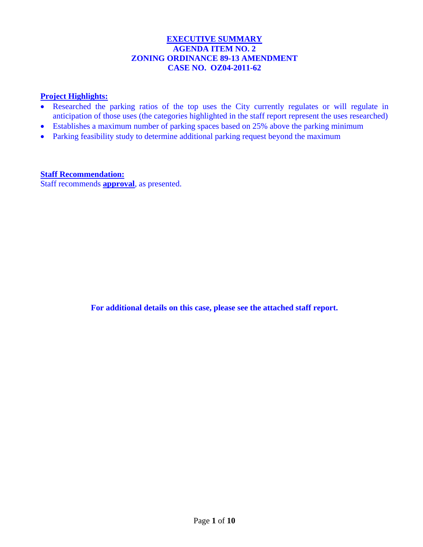## **EXECUTIVE SUMMARY AGENDA ITEM NO. 2 ZONING ORDINANCE 89-13 AMENDMENT CASE NO. OZ04-2011-62**

# **Project Highlights:**

- Researched the parking ratios of the top uses the City currently regulates or will regulate in anticipation of those uses (the categories highlighted in the staff report represent the uses researched)
- Establishes a maximum number of parking spaces based on 25% above the parking minimum
- Parking feasibility study to determine additional parking request beyond the maximum

**Staff Recommendation:**  Staff recommends **approval**, as presented.

**For additional details on this case, please see the attached staff report.**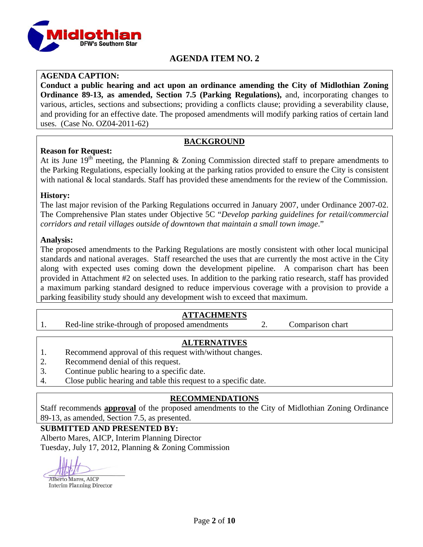

# **AGENDA ITEM NO. 2**

## **AGENDA CAPTION:**

**Conduct a public hearing and act upon an ordinance amending the City of Midlothian Zoning Ordinance 89-13, as amended, Section 7.5 (Parking Regulations),** and, incorporating changes to various, articles, sections and subsections; providing a conflicts clause; providing a severability clause, and providing for an effective date. The proposed amendments will modify parking ratios of certain land uses. (Case No. OZ04-2011-62)

## **BACKGROUND**

## **Reason for Request:**

At its June  $19^{th}$  meeting, the Planning & Zoning Commission directed staff to prepare amendments to the Parking Regulations, especially looking at the parking ratios provided to ensure the City is consistent with national & local standards. Staff has provided these amendments for the review of the Commission.

#### **History:**

The last major revision of the Parking Regulations occurred in January 2007, under Ordinance 2007-02. The Comprehensive Plan states under Objective 5C "*Develop parking guidelines for retail/commercial corridors and retail villages outside of downtown that maintain a small town image*."

#### **Analysis:**

The proposed amendments to the Parking Regulations are mostly consistent with other local municipal standards and national averages. Staff researched the uses that are currently the most active in the City along with expected uses coming down the development pipeline. A comparison chart has been provided in Attachment #2 on selected uses. In addition to the parking ratio research, staff has provided a maximum parking standard designed to reduce impervious coverage with a provision to provide a parking feasibility study should any development wish to exceed that maximum.

# **ATTACHMENTS**

1. Red-line strike-through of proposed amendments 2. Comparison chart

# **ALTERNATIVES**

- 1. Recommend approval of this request with/without changes.
- 2. Recommend denial of this request.
- 3. Continue public hearing to a specific date.
- 4. Close public hearing and table this request to a specific date.

# **RECOMMENDATIONS**

Staff recommends **approval** of the proposed amendments to the City of Midlothian Zoning Ordinance 89-13, as amended, Section 7.5, as presented.

#### **SUBMITTED AND PRESENTED BY:**

Alberto Mares, AICP, Interim Planning Director Tuesday, July 17, 2012, Planning & Zoning Commission

Alberto Mares, AICP

**Interim Planning Director**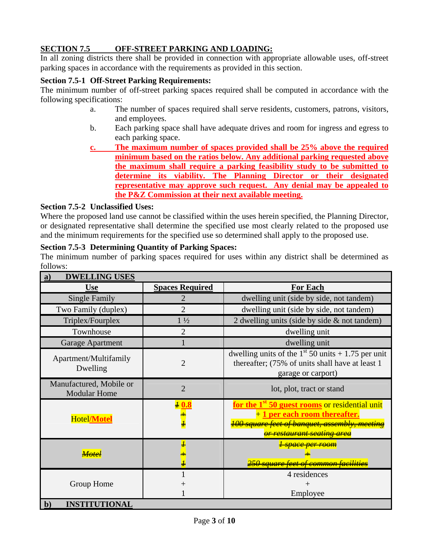# **SECTION 7.5 OFF-STREET PARKING AND LOADING:**

In all zoning districts there shall be provided in connection with appropriate allowable uses, off-street parking spaces in accordance with the requirements as provided in this section.

## **Section 7.5-1 Off-Street Parking Requirements:**

The minimum number of off-street parking spaces required shall be computed in accordance with the following specifications:

- a. The number of spaces required shall serve residents, customers, patrons, visitors, and employees.
- b. Each parking space shall have adequate drives and room for ingress and egress to each parking space.
- **c. The maximum number of spaces provided shall be 25% above the required minimum based on the ratios below. Any additional parking requested above the maximum shall require a parking feasibility study to be submitted to determine its viability. The Planning Director or their designated representative may approve such request. Any denial may be appealed to the P&Z Commission at their next available meeting.**

#### **Section 7.5-2 Unclassified Uses:**

Where the proposed land use cannot be classified within the uses herein specified, the Planning Director, or designated representative shall determine the specified use most clearly related to the proposed use and the minimum requirements for the specified use so determined shall apply to the proposed use.

#### **Section 7.5-3 Determining Quantity of Parking Spaces:**

The minimum number of parking spaces required for uses within any district shall be determined as follows:

| <b>DWELLING USES</b><br>a)                     |                        |                                                                                                                                                                                                  |
|------------------------------------------------|------------------------|--------------------------------------------------------------------------------------------------------------------------------------------------------------------------------------------------|
| <b>Use</b>                                     | <b>Spaces Required</b> | For Each                                                                                                                                                                                         |
| <b>Single Family</b>                           | 2                      | dwelling unit (side by side, not tandem)                                                                                                                                                         |
| Two Family (duplex)                            | $\overline{2}$         | dwelling unit (side by side, not tandem)                                                                                                                                                         |
| Triplex/Fourplex                               | $1\frac{1}{2}$         | 2 dwelling units (side by side & not tandem)                                                                                                                                                     |
| Townhouse                                      | $\overline{2}$         | dwelling unit                                                                                                                                                                                    |
| Garage Apartment                               |                        | dwelling unit                                                                                                                                                                                    |
| Apartment/Multifamily<br>Dwelling              | $\overline{2}$         | dwelling units of the $1st 50$ units + 1.75 per unit<br>thereafter; (75% of units shall have at least 1<br>garage or carport)                                                                    |
| Manufactured, Mobile or<br><b>Modular Home</b> | $\overline{2}$         | lot, plot, tract or stand                                                                                                                                                                        |
| <b>Hotel/Motel</b>                             | $\frac{20.8}{1}$       | for the 1 <sup>st</sup> 50 guest rooms or residential unit<br>+ 1 per each room thereafter.<br><del>100 square feet of banquet, assembly, meeting</del><br><del>or restaurant seating area</del> |
|                                                | 7                      | <del>I space per room</del><br><del>250 square feet of common facilitie.</del>                                                                                                                   |
| Group Home                                     |                        | 4 residences<br>Employee                                                                                                                                                                         |
| <b>INSTITUTIONAL</b><br>$\mathbf{b}$           |                        |                                                                                                                                                                                                  |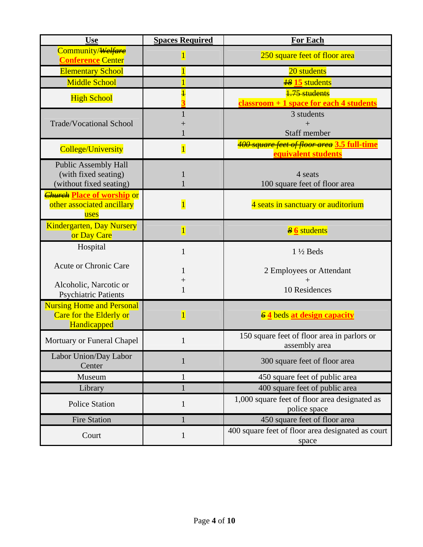| <b>Use</b>                                                                     | <b>Spaces Required</b> | <b>For Each</b>                                                    |  |
|--------------------------------------------------------------------------------|------------------------|--------------------------------------------------------------------|--|
| Community/ <del>Welfare</del><br><b>Conference Center</b>                      | $\overline{1}$         | 250 square feet of floor area                                      |  |
| <b>Elementary School</b>                                                       | $\overline{1}$         | 20 students                                                        |  |
| <b>Middle School</b>                                                           | $\overline{1}$         | <b><sup>18</sup> 15</b> students                                   |  |
| <b>High School</b>                                                             | $\overline{1}$         | 1.75 students                                                      |  |
|                                                                                |                        | classroom + 1 space for each 4 students                            |  |
| <b>Trade/Vocational School</b>                                                 |                        | 3 students                                                         |  |
|                                                                                |                        | $+$<br><b>Staff member</b>                                         |  |
| <b>College/University</b>                                                      | $\overline{1}$         | 400 square feet of floor area 3.5 full-time<br>equivalent students |  |
| <b>Public Assembly Hall</b><br>(with fixed seating)<br>(without fixed seating) |                        | 4 seats<br>100 square feet of floor area                           |  |
| <b>Church Place of worship or</b><br>other associated ancillary<br>uses        | $\overline{1}$         | 4 seats in sanctuary or auditorium                                 |  |
| <b>Kindergarten, Day Nursery</b><br>or Day Care                                | $\overline{1}$         | $\frac{8}{9}$ students                                             |  |
| Hospital                                                                       | $\mathbf{1}$           | $1\frac{1}{2}$ Beds                                                |  |
| <b>Acute or Chronic Care</b>                                                   | 1                      | 2 Employees or Attendant                                           |  |
| Alcoholic, Narcotic or<br><b>Psychiatric Patients</b>                          | $\overline{+}$<br>1    | $^{+}$<br>10 Residences                                            |  |
| <b>Nursing Home and Personal</b><br>Care for the Elderly or<br>Handicapped     | $\overline{1}$         | 64 beds at design capacity                                         |  |
| Mortuary or Funeral Chapel                                                     |                        | 150 square feet of floor area in parlors or<br>assembly area       |  |
| Labor Union/Day Labor<br>Center                                                | $\mathbf{1}$           | 300 square feet of floor area                                      |  |
| Museum                                                                         | 1                      | 450 square feet of public area                                     |  |
| Library                                                                        | 1                      | 400 square feet of public area                                     |  |
| <b>Police Station</b>                                                          | 1                      | 1,000 square feet of floor area designated as<br>police space      |  |
| <b>Fire Station</b>                                                            | 1                      | 450 square feet of floor area                                      |  |
| Court                                                                          | $\mathbf{1}$           | 400 square feet of floor area designated as court<br>space         |  |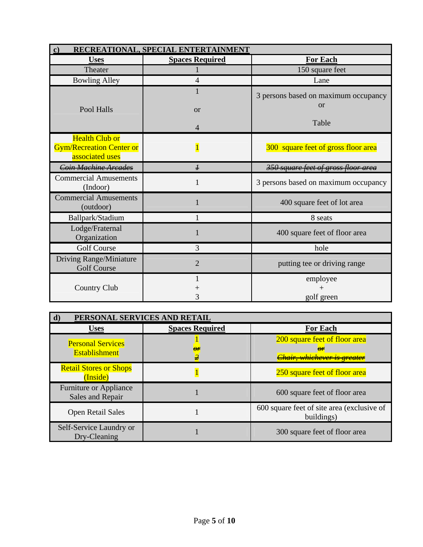| RECREATIONAL, SPECIAL ENTERTAINMENT<br>$\mathbf{c})$                        |                        |                                                   |  |
|-----------------------------------------------------------------------------|------------------------|---------------------------------------------------|--|
| <b>Uses</b>                                                                 | <b>Spaces Required</b> | <b>For Each</b>                                   |  |
| Theater                                                                     |                        | 150 square feet                                   |  |
| <b>Bowling Alley</b>                                                        | $\overline{4}$         | Lane                                              |  |
|                                                                             | 1                      | 3 persons based on maximum occupancy<br><b>or</b> |  |
| Pool Halls                                                                  | <b>or</b>              |                                                   |  |
|                                                                             | $\overline{4}$         | Table                                             |  |
| <b>Health Club or</b><br><b>Gym/Recreation Center or</b><br>associated uses |                        | 300 square feet of gross floor area               |  |
| Coin Machine Arcades                                                        | $\boldsymbol{I}$       | <del>350 square feet of gross floor area</del>    |  |
| <b>Commercial Amusements</b><br>(Indoor)                                    |                        | 3 persons based on maximum occupancy              |  |
| <b>Commercial Amusements</b><br>(outdoor)                                   |                        | 400 square feet of lot area                       |  |
| Ballpark/Stadium                                                            | 1                      | 8 seats                                           |  |
| Lodge/Fraternal<br>Organization                                             | 1                      | 400 square feet of floor area                     |  |
| <b>Golf Course</b>                                                          | 3                      | hole                                              |  |
| Driving Range/Miniature<br><b>Golf Course</b>                               | $\overline{2}$         | putting tee or driving range                      |  |
|                                                                             | 1                      | employee                                          |  |
| <b>Country Club</b>                                                         |                        |                                                   |  |
|                                                                             | 3                      | golf green                                        |  |

| PERSONAL SERVICES AND RETAIL<br>d)                |                        |                                                                               |  |
|---------------------------------------------------|------------------------|-------------------------------------------------------------------------------|--|
| <b>Uses</b>                                       | <b>Spaces Required</b> | <b>For Each</b>                                                               |  |
| <b>Personal Services</b><br><b>Establishment</b>  | AР                     | 200 square feet of floor area<br>Α¥<br><del>Chair, whichever is greater</del> |  |
| <b>Retail Stores or Shops</b><br>(Inside)         |                        | 250 square feet of floor area                                                 |  |
| <b>Furniture or Appliance</b><br>Sales and Repair |                        | 600 square feet of floor area                                                 |  |
| <b>Open Retail Sales</b>                          |                        | 600 square feet of site area (exclusive of<br>buildings)                      |  |
| Self-Service Laundry or<br>Dry-Cleaning           |                        | 300 square feet of floor area                                                 |  |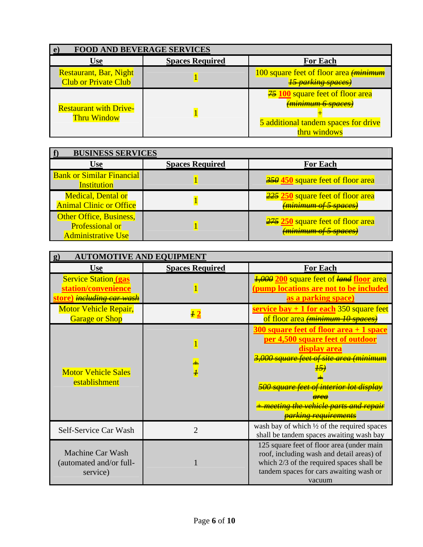| <b>FOOD AND BEVERAGE SERVICES</b>                            |                        |                                                                                                                                       |  |
|--------------------------------------------------------------|------------------------|---------------------------------------------------------------------------------------------------------------------------------------|--|
| Use                                                          | <b>Spaces Required</b> | <b>For Each</b>                                                                                                                       |  |
| <b>Restaurant, Bar, Night</b><br><b>Club or Private Club</b> |                        | 100 square feet of floor area <del>(<i>minimum</i>)</del><br><del>15 parking spaces)</del>                                            |  |
| <b>Restaurant with Drive-</b><br><b>Thru Window</b>          |                        | $\frac{25}{2}$ 100 square feet of floor area<br><del>(minimum 6 spaces)</del><br>5 additional tandem spaces for drive<br>thru windows |  |

| <b>BUSINESS SERVICES</b>                                                       |                        |                                                                              |  |
|--------------------------------------------------------------------------------|------------------------|------------------------------------------------------------------------------|--|
| <b>Use</b>                                                                     | <b>Spaces Required</b> | <b>For Each</b>                                                              |  |
| <b>Bank or Similar Financial</b><br><b>Institution</b>                         |                        | $\frac{350}{100}$ square feet of floor area                                  |  |
| <b>Medical, Dental or</b><br><b>Animal Clinic or Office</b>                    |                        | <b>225 250</b> square feet of floor area<br><del>(minimum of 5 spaces)</del> |  |
| Other Office, Business,<br><b>Professional or</b><br><b>Administrative Use</b> |                        | <b>275 250</b> square feet of floor area<br><del>(minimum of 5 spaces)</del> |  |

| <b>AUTOMOTIVE AND EQUIPMENT</b>                                                                |                        |                                                                                                                                                                                                                                                                                                  |  |  |
|------------------------------------------------------------------------------------------------|------------------------|--------------------------------------------------------------------------------------------------------------------------------------------------------------------------------------------------------------------------------------------------------------------------------------------------|--|--|
| <b>Use</b>                                                                                     | <b>Spaces Required</b> | <b>For Each</b>                                                                                                                                                                                                                                                                                  |  |  |
| <b>Service Station (gas</b><br>station/convenience<br><u>ore) <del>including car was</del></u> |                        | 4,000 200 square feet of land floor area<br>pump locations are not to be included<br>as a parking space)                                                                                                                                                                                         |  |  |
| <b>Motor Vehicle Repair,</b><br><b>Garage or Shop</b>                                          | $\overline{\bf{1}}2$   | service bay $+1$ for each 350 square feet<br>of floor area (minimum 10 spaces)                                                                                                                                                                                                                   |  |  |
| <b>Motor Vehicle Sales</b><br>establishment                                                    |                        | $300$ square feet of floor area $+1$ space<br>per 4,500 square feet of outdoor<br>display area<br><del>3,000 square feet of site area (minimum</del><br><del>500 square feet of interior lot display</del><br><del>meeting the vehicle parts and repair</del><br><del>parking requirements</del> |  |  |
| Self-Service Car Wash                                                                          | 2                      | wash bay of which $\frac{1}{2}$ of the required spaces<br>shall be tandem spaces awaiting wash bay                                                                                                                                                                                               |  |  |
| <b>Machine Car Wash</b><br>(automated and/or full-<br>service)                                 |                        | 125 square feet of floor area (under main<br>roof, including wash and detail areas) of<br>which 2/3 of the required spaces shall be<br>tandem spaces for cars awaiting wash or<br>vacuum                                                                                                         |  |  |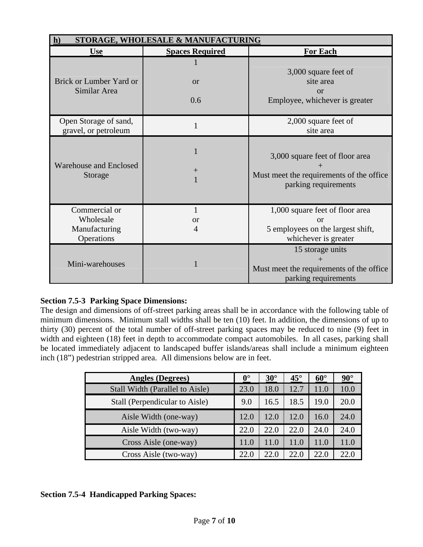| STORAGE, WHOLESALE & MANUFACTURING<br>h)      |                                           |                                                                                                     |  |
|-----------------------------------------------|-------------------------------------------|-----------------------------------------------------------------------------------------------------|--|
| <b>Use</b>                                    | <b>For Each</b><br><b>Spaces Required</b> |                                                                                                     |  |
|                                               |                                           | 3,000 square feet of                                                                                |  |
| Brick or Lumber Yard or<br>Similar Area       | <b>or</b>                                 | site area<br>or                                                                                     |  |
|                                               | 0.6                                       | Employee, whichever is greater                                                                      |  |
| Open Storage of sand,<br>gravel, or petroleum |                                           | 2,000 square feet of<br>site area                                                                   |  |
| Warehouse and Enclosed<br>Storage             | $\mathrm{+}$                              | 3,000 square feet of floor area<br>Must meet the requirements of the office<br>parking requirements |  |
| Commercial or                                 | 1                                         | 1,000 square feet of floor area                                                                     |  |
| Wholesale                                     | <b>or</b>                                 | $\alpha$                                                                                            |  |
| Manufacturing<br>Operations                   | 4                                         | 5 employees on the largest shift,<br>whichever is greater                                           |  |
| Mini-warehouses                               |                                           | 15 storage units<br>Must meet the requirements of the office<br>parking requirements                |  |

# **Section 7.5-3 Parking Space Dimensions:**

The design and dimensions of off-street parking areas shall be in accordance with the following table of minimum dimensions. Minimum stall widths shall be ten (10) feet. In addition, the dimensions of up to thirty (30) percent of the total number of off-street parking spaces may be reduced to nine (9) feet in width and eighteen (18) feet in depth to accommodate compact automobiles. In all cases, parking shall be located immediately adjacent to landscaped buffer islands/areas shall include a minimum eighteen inch (18") pedestrian stripped area. All dimensions below are in feet.

| <b>Angles (Degrees)</b>         | $0^{\circ}$ | $30^\circ$ | $45^{\circ}$ | $60^\circ$ | $90^\circ$ |
|---------------------------------|-------------|------------|--------------|------------|------------|
| Stall Width (Parallel to Aisle) | 23.0        | 18.0       | 12.7         | 11.0       | 10.0       |
| Stall (Perpendicular to Aisle)  | 9.0         | 16.5       | 18.5         | 19.0       | 20.0       |
| Aisle Width (one-way)           | 12.0        | 12.0       | 12.0         | 16.0       | 24.0       |
| Aisle Width (two-way)           | 22.0        | 22.0       | 22.0         | 24.0       | 24.0       |
| Cross Aisle (one-way)           | 11.0        | 11.0       | 11.0         | 11.0       |            |
| Cross Aisle (two-way)           | 22.0        | 22.0       | 22.0         | 22.0       | 22.0       |

# **Section 7.5-4 Handicapped Parking Spaces:**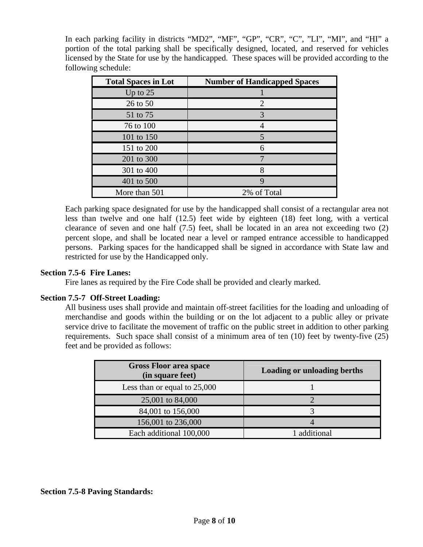In each parking facility in districts "MD2", "MF", "GP", "CR", "C", "LI", "MI", and "HI" a portion of the total parking shall be specifically designed, located, and reserved for vehicles licensed by the State for use by the handicapped. These spaces will be provided according to the following schedule:

| <b>Total Spaces in Lot</b> | <b>Number of Handicapped Spaces</b> |
|----------------------------|-------------------------------------|
| Up to $25$                 |                                     |
| 26 to 50                   | 2                                   |
| 51 to 75                   | 3                                   |
| 76 to 100                  |                                     |
| 101 to 150                 | 5                                   |
| 151 to 200                 | 6                                   |
| 201 to 300                 |                                     |
| 301 to 400                 |                                     |
| 401 to 500                 | 9                                   |
| More than 501              | 2% of Total                         |

Each parking space designated for use by the handicapped shall consist of a rectangular area not less than twelve and one half (12.5) feet wide by eighteen (18) feet long, with a vertical clearance of seven and one half (7.5) feet, shall be located in an area not exceeding two (2) percent slope, and shall be located near a level or ramped entrance accessible to handicapped persons. Parking spaces for the handicapped shall be signed in accordance with State law and restricted for use by the Handicapped only.

## **Section 7.5-6 Fire Lanes:**

Fire lanes as required by the Fire Code shall be provided and clearly marked.

#### **Section 7.5-7 Off-Street Loading:**

All business uses shall provide and maintain off-street facilities for the loading and unloading of merchandise and goods within the building or on the lot adjacent to a public alley or private service drive to facilitate the movement of traffic on the public street in addition to other parking requirements. Such space shall consist of a minimum area of ten (10) feet by twenty-five (25) feet and be provided as follows:

| <b>Gross Floor area space</b><br>(in square feet) | <b>Loading or unloading berths</b> |
|---------------------------------------------------|------------------------------------|
| Less than or equal to 25,000                      |                                    |
| 25,001 to 84,000                                  |                                    |
| 84,001 to 156,000                                 |                                    |
| 156,001 to 236,000                                |                                    |
| Each additional 100,000                           | 1 additional                       |

#### **Section 7.5-8 Paving Standards:**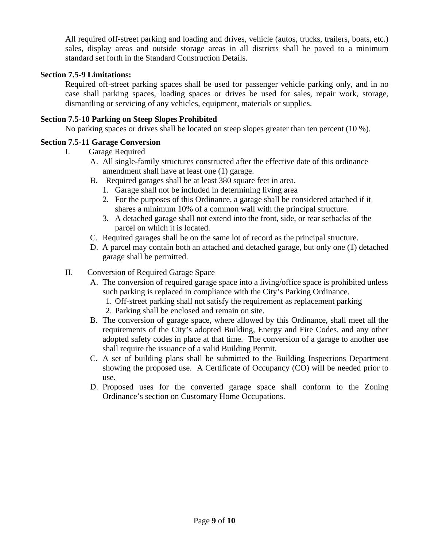All required off-street parking and loading and drives, vehicle (autos, trucks, trailers, boats, etc.) sales, display areas and outside storage areas in all districts shall be paved to a minimum standard set forth in the Standard Construction Details.

## **Section 7.5-9 Limitations:**

Required off-street parking spaces shall be used for passenger vehicle parking only, and in no case shall parking spaces, loading spaces or drives be used for sales, repair work, storage, dismantling or servicing of any vehicles, equipment, materials or supplies.

## **Section 7.5-10 Parking on Steep Slopes Prohibited**

No parking spaces or drives shall be located on steep slopes greater than ten percent (10 %).

## **Section 7.5-11 Garage Conversion**

- I. Garage Required
	- A. All single-family structures constructed after the effective date of this ordinance amendment shall have at least one (1) garage.
	- B. Required garages shall be at least 380 square feet in area.
		- 1. Garage shall not be included in determining living area
		- 2. For the purposes of this Ordinance, a garage shall be considered attached if it shares a minimum 10% of a common wall with the principal structure.
		- 3. A detached garage shall not extend into the front, side, or rear setbacks of the parcel on which it is located.
	- C. Required garages shall be on the same lot of record as the principal structure.
	- D. A parcel may contain both an attached and detached garage, but only one (1) detached garage shall be permitted.
- II. Conversion of Required Garage Space
	- A. The conversion of required garage space into a living/office space is prohibited unless such parking is replaced in compliance with the City's Parking Ordinance.
		- 1. Off-street parking shall not satisfy the requirement as replacement parking
		- 2. Parking shall be enclosed and remain on site.
	- B. The conversion of garage space, where allowed by this Ordinance, shall meet all the requirements of the City's adopted Building, Energy and Fire Codes, and any other adopted safety codes in place at that time. The conversion of a garage to another use shall require the issuance of a valid Building Permit.
	- C. A set of building plans shall be submitted to the Building Inspections Department showing the proposed use. A Certificate of Occupancy (CO) will be needed prior to use.
	- D. Proposed uses for the converted garage space shall conform to the Zoning Ordinance's section on Customary Home Occupations.